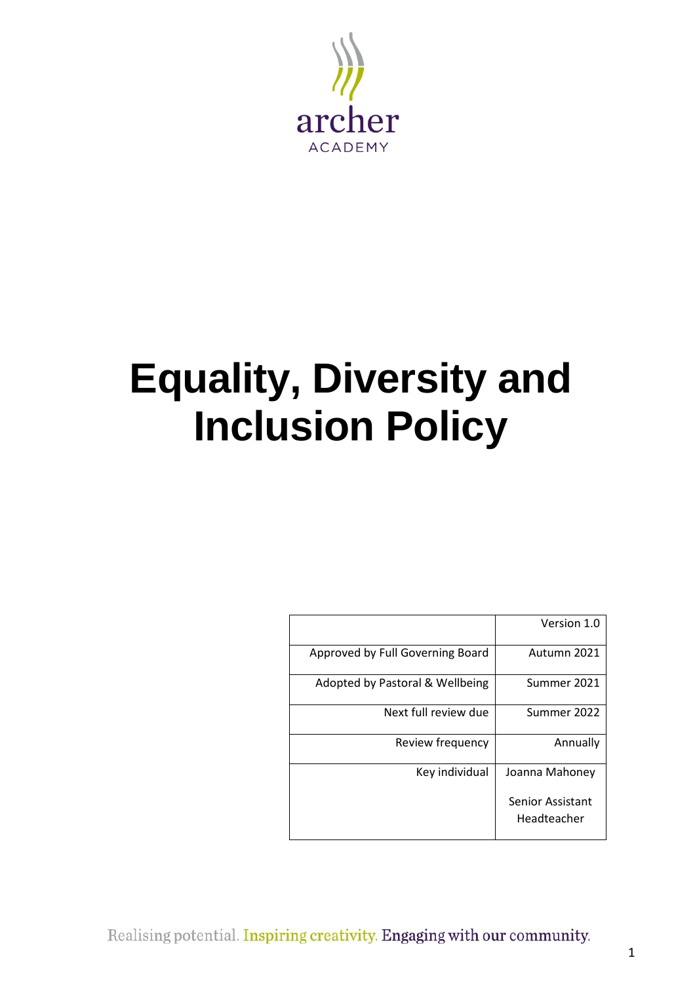

# **Equality, Diversity and Inclusion Policy**

|                                  | Version 1.0                     |
|----------------------------------|---------------------------------|
| Approved by Full Governing Board | Autumn 2021                     |
| Adopted by Pastoral & Wellbeing  | Summer 2021                     |
| Next full review due             | Summer 2022                     |
| Review frequency                 | Annually                        |
| Key individual                   | Joanna Mahoney                  |
|                                  | Senior Assistant<br>Headteacher |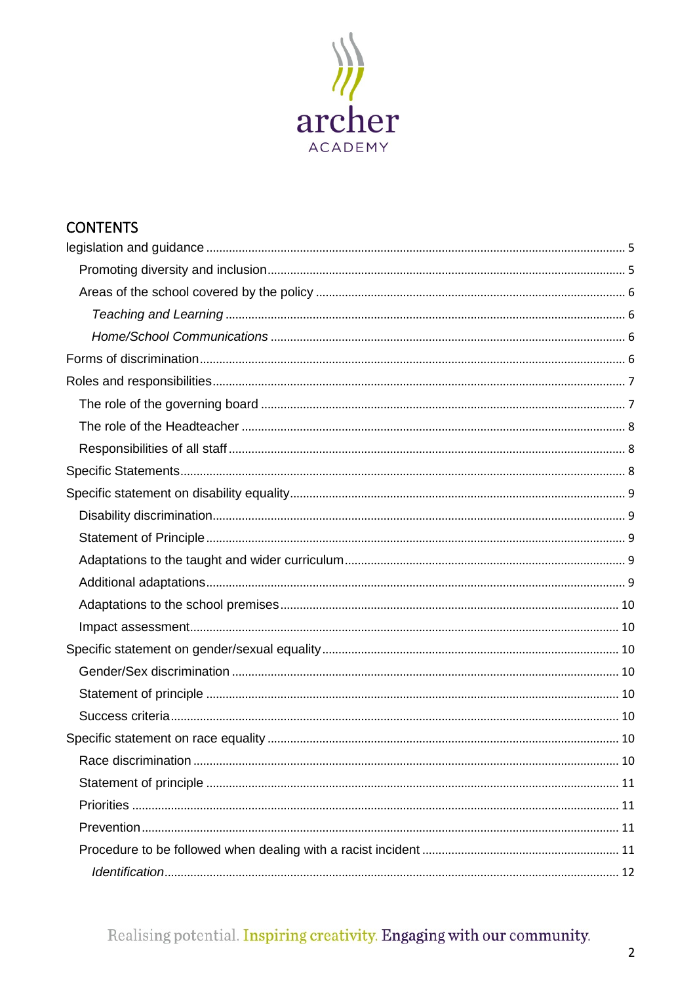

# **CONTENTS**

| 10 |
|----|
|    |
|    |
|    |
|    |
|    |

# Realising potential. Inspiring creativity. Engaging with our community.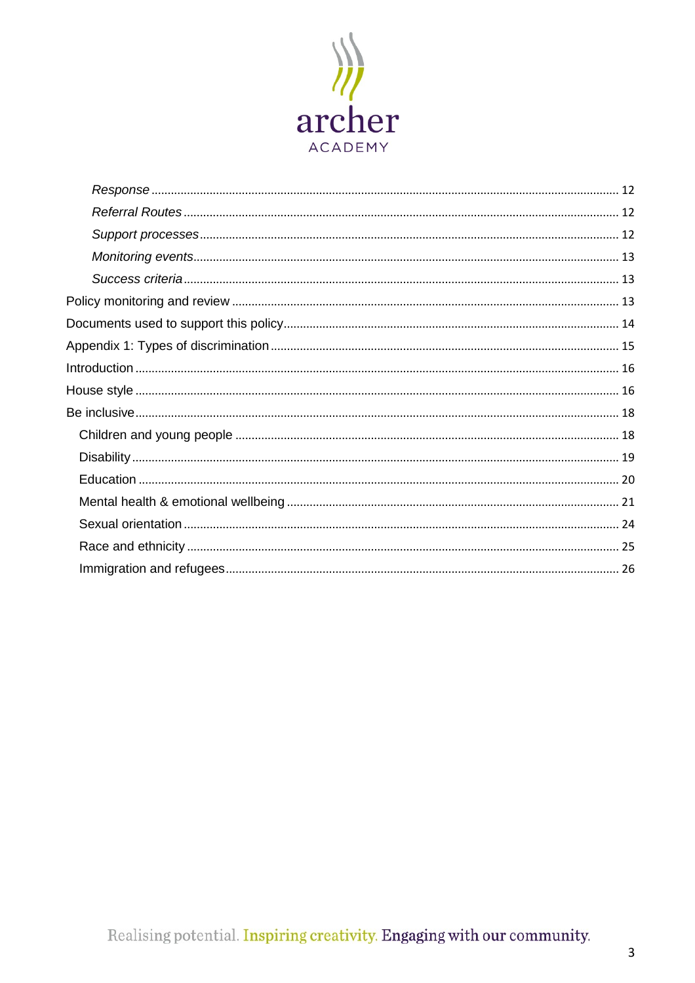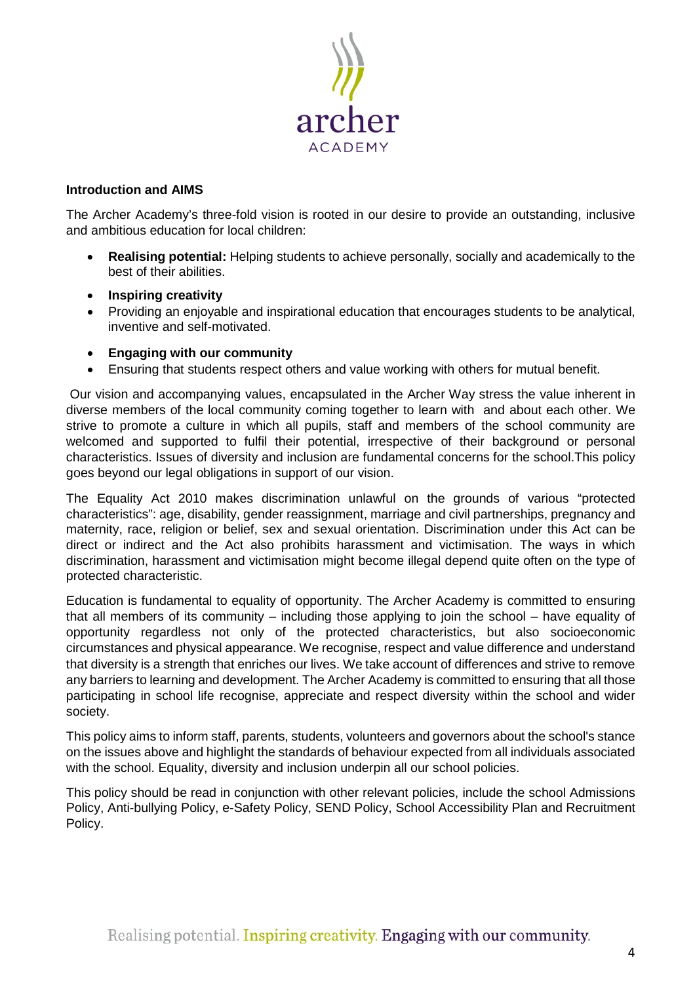

# **Introduction and AIMS**

The Archer Academy's three-fold vision is rooted in our desire to provide an outstanding, inclusive and ambitious education for local children:

- **Realising potential:** Helping students to achieve personally, socially and academically to the best of their abilities.
- **Inspiring creativity**
- Providing an enjoyable and inspirational education that encourages students to be analytical, inventive and self-motivated.
- **Engaging with our community**
- Ensuring that students respect others and value working with others for mutual benefit.

Our vision and accompanying values, encapsulated in the Archer Way stress the value inherent in diverse members of the local community coming together to learn with and about each other. We strive to promote a culture in which all pupils, staff and members of the school community are welcomed and supported to fulfil their potential, irrespective of their background or personal characteristics. Issues of diversity and inclusion are fundamental concerns for the school.This policy goes beyond our legal obligations in support of our vision.

The Equality Act 2010 makes discrimination unlawful on the grounds of various "protected characteristics": age, disability, gender reassignment, marriage and civil partnerships, pregnancy and maternity, race, religion or belief, sex and sexual orientation. Discrimination under this Act can be direct or indirect and the Act also prohibits harassment and victimisation. The ways in which discrimination, harassment and victimisation might become illegal depend quite often on the type of protected characteristic.

Education is fundamental to equality of opportunity. The Archer Academy is committed to ensuring that all members of its community – including those applying to join the school – have equality of opportunity regardless not only of the protected characteristics, but also socioeconomic circumstances and physical appearance. We recognise, respect and value difference and understand that diversity is a strength that enriches our lives. We take account of differences and strive to remove any barriers to learning and development. The Archer Academy is committed to ensuring that all those participating in school life recognise, appreciate and respect diversity within the school and wider society.

This policy aims to inform staff, parents, students, volunteers and governors about the school's stance on the issues above and highlight the standards of behaviour expected from all individuals associated with the school. Equality, diversity and inclusion underpin all our school policies.

This policy should be read in conjunction with other relevant policies, include the school Admissions Policy, Anti-bullying Policy, e-Safety Policy, SEND Policy, School Accessibility Plan and Recruitment Policy.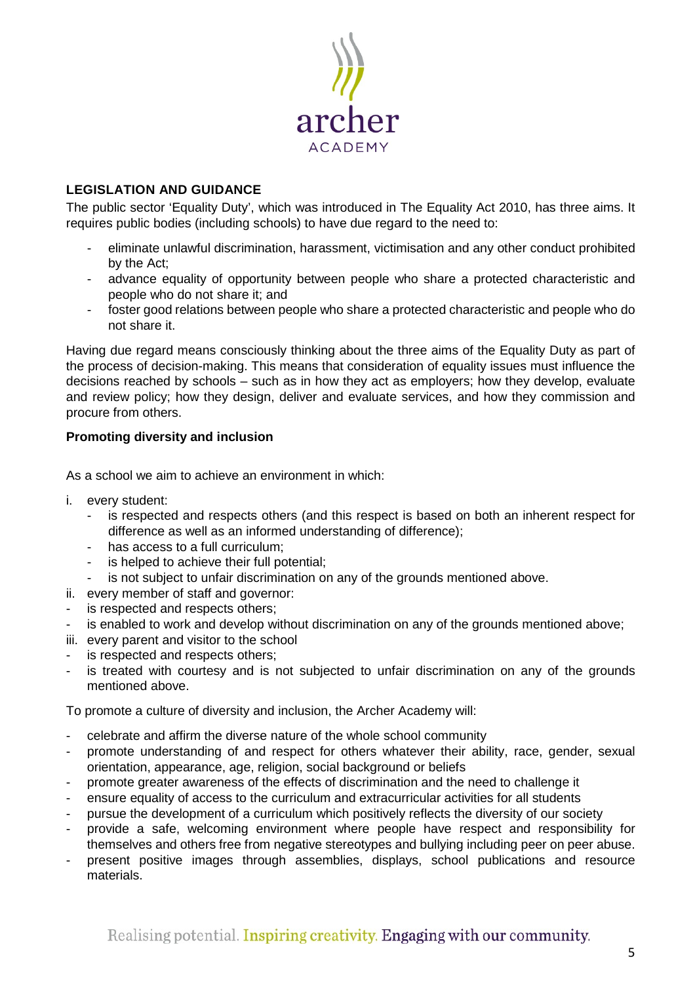

# <span id="page-4-0"></span>**LEGISLATION AND GUIDANCE**

The public sector 'Equality Duty', which was introduced in The Equality Act 2010, has three aims. It requires public bodies (including schools) to have due regard to the need to:

- eliminate unlawful discrimination, harassment, victimisation and any other conduct prohibited by the Act;
- advance equality of opportunity between people who share a protected characteristic and people who do not share it; and
- foster good relations between people who share a protected characteristic and people who do not share it.

Having due regard means consciously thinking about the three aims of the Equality Duty as part of the process of decision-making. This means that consideration of equality issues must influence the decisions reached by schools – such as in how they act as employers; how they develop, evaluate and review policy; how they design, deliver and evaluate services, and how they commission and procure from others.

# <span id="page-4-1"></span>**Promoting diversity and inclusion**

As a school we aim to achieve an environment in which:

- i. every student:
	- is respected and respects others (and this respect is based on both an inherent respect for difference as well as an informed understanding of difference);
	- has access to a full curriculum;
	- is helped to achieve their full potential;
	- is not subject to unfair discrimination on any of the grounds mentioned above.
- ii. every member of staff and governor:
- is respected and respects others;
- is enabled to work and develop without discrimination on any of the grounds mentioned above;
- iii. every parent and visitor to the school
- is respected and respects others;
- is treated with courtesy and is not subjected to unfair discrimination on any of the grounds mentioned above.

To promote a culture of diversity and inclusion, the Archer Academy will:

- celebrate and affirm the diverse nature of the whole school community
- promote understanding of and respect for others whatever their ability, race, gender, sexual orientation, appearance, age, religion, social background or beliefs
- promote greater awareness of the effects of discrimination and the need to challenge it
- ensure equality of access to the curriculum and extracurricular activities for all students
- pursue the development of a curriculum which positively reflects the diversity of our society
- provide a safe, welcoming environment where people have respect and responsibility for themselves and others free from negative stereotypes and bullying including peer on peer abuse.
- present positive images through assemblies, displays, school publications and resource materials.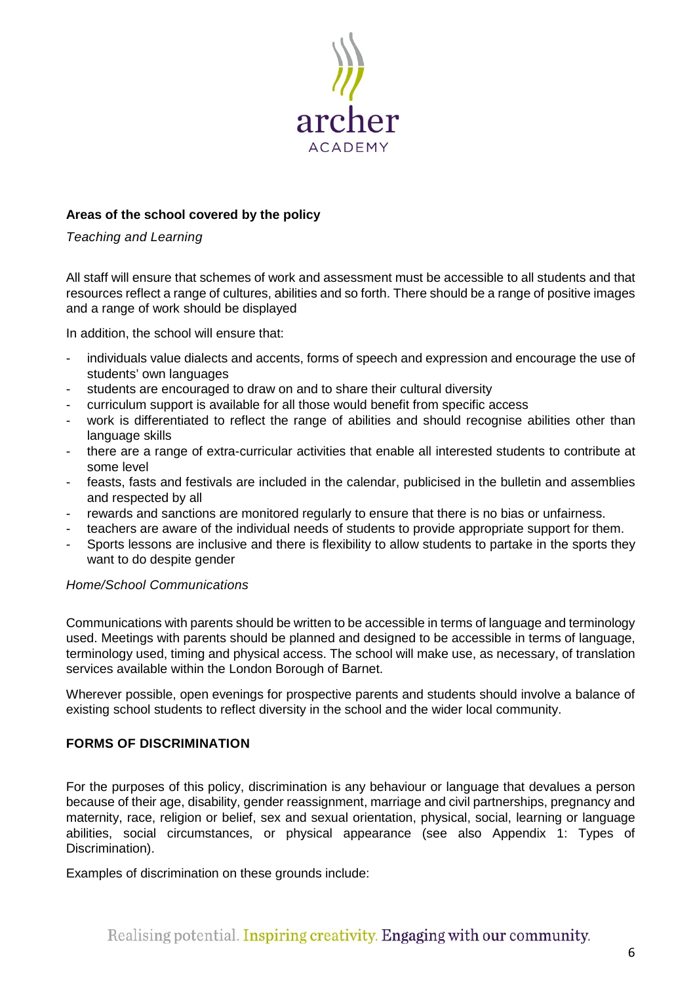

# <span id="page-5-0"></span>**Areas of the school covered by the policy**

<span id="page-5-1"></span>*Teaching and Learning* 

All staff will ensure that schemes of work and assessment must be accessible to all students and that resources reflect a range of cultures, abilities and so forth. There should be a range of positive images and a range of work should be displayed

In addition, the school will ensure that:

- individuals value dialects and accents, forms of speech and expression and encourage the use of students' own languages
- students are encouraged to draw on and to share their cultural diversity
- curriculum support is available for all those would benefit from specific access
- work is differentiated to reflect the range of abilities and should recognise abilities other than language skills
- there are a range of extra-curricular activities that enable all interested students to contribute at some level
- feasts, fasts and festivals are included in the calendar, publicised in the bulletin and assemblies and respected by all
- rewards and sanctions are monitored regularly to ensure that there is no bias or unfairness.
- teachers are aware of the individual needs of students to provide appropriate support for them.
- Sports lessons are inclusive and there is flexibility to allow students to partake in the sports they want to do despite gender

# <span id="page-5-2"></span>*Home/School Communications*

Communications with parents should be written to be accessible in terms of language and terminology used. Meetings with parents should be planned and designed to be accessible in terms of language, terminology used, timing and physical access. The school will make use, as necessary, of translation services available within the London Borough of Barnet.

Wherever possible, open evenings for prospective parents and students should involve a balance of existing school students to reflect diversity in the school and the wider local community.

# <span id="page-5-3"></span>**FORMS OF DISCRIMINATION**

For the purposes of this policy, discrimination is any behaviour or language that devalues a person because of their age, disability, gender reassignment, marriage and civil partnerships, pregnancy and maternity, race, religion or belief, sex and sexual orientation, physical, social, learning or language abilities, social circumstances, or physical appearance (see also Appendix 1: Types of Discrimination).

Examples of discrimination on these grounds include: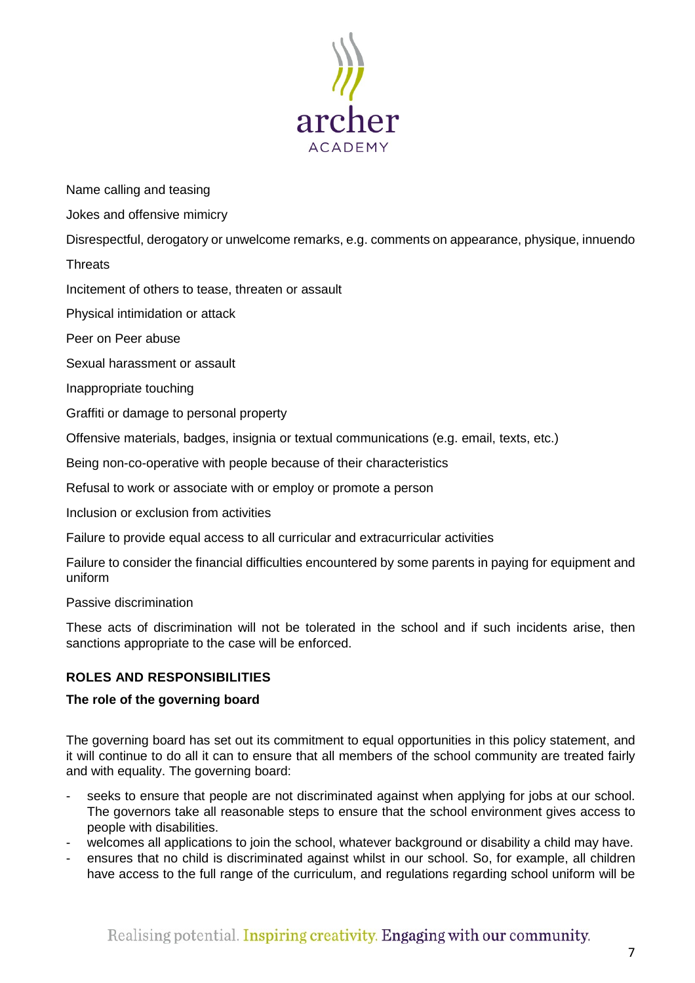

Name calling and teasing

Jokes and offensive mimicry

Disrespectful, derogatory or unwelcome remarks, e.g. comments on appearance, physique, innuendo

**Threats** 

Incitement of others to tease, threaten or assault

Physical intimidation or attack

Peer on Peer abuse

Sexual harassment or assault

Inappropriate touching

Graffiti or damage to personal property

Offensive materials, badges, insignia or textual communications (e.g. email, texts, etc.)

Being non-co-operative with people because of their characteristics

Refusal to work or associate with or employ or promote a person

Inclusion or exclusion from activities

Failure to provide equal access to all curricular and extracurricular activities

Failure to consider the financial difficulties encountered by some parents in paying for equipment and uniform

Passive discrimination

These acts of discrimination will not be tolerated in the school and if such incidents arise, then sanctions appropriate to the case will be enforced.

# <span id="page-6-0"></span>**ROLES AND RESPONSIBILITIES**

# <span id="page-6-1"></span>**The role of the governing board**

The governing board has set out its commitment to equal opportunities in this policy statement, and it will continue to do all it can to ensure that all members of the school community are treated fairly and with equality. The governing board:

- seeks to ensure that people are not discriminated against when applying for jobs at our school. The governors take all reasonable steps to ensure that the school environment gives access to people with disabilities.
- welcomes all applications to join the school, whatever background or disability a child may have.
- ensures that no child is discriminated against whilst in our school. So, for example, all children have access to the full range of the curriculum, and regulations regarding school uniform will be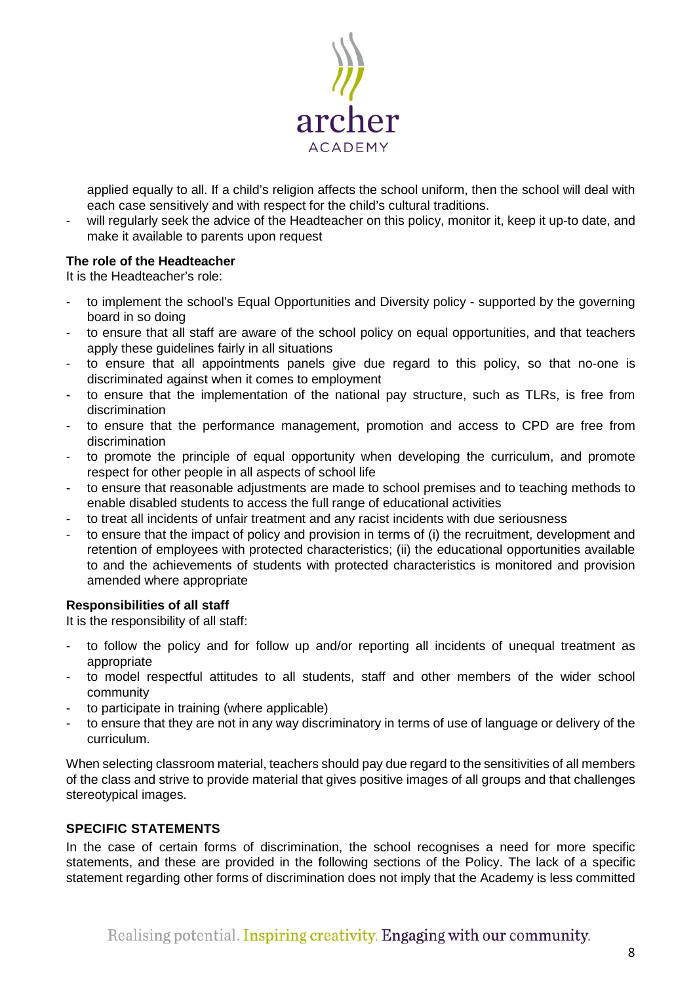

applied equally to all. If a child's religion affects the school uniform, then the school will deal with each case sensitively and with respect for the child's cultural traditions.

will regularly seek the advice of the Headteacher on this policy, monitor it, keep it up-to date, and make it available to parents upon request

# <span id="page-7-0"></span>**The role of the Headteacher**

It is the Headteacher's role:

- to implement the school's Equal Opportunities and Diversity policy supported by the governing board in so doing
- to ensure that all staff are aware of the school policy on equal opportunities, and that teachers apply these guidelines fairly in all situations
- to ensure that all appointments panels give due regard to this policy, so that no-one is discriminated against when it comes to employment
- to ensure that the implementation of the national pay structure, such as TLRs, is free from discrimination
- to ensure that the performance management, promotion and access to CPD are free from discrimination
- to promote the principle of equal opportunity when developing the curriculum, and promote respect for other people in all aspects of school life
- to ensure that reasonable adjustments are made to school premises and to teaching methods to enable disabled students to access the full range of educational activities
- to treat all incidents of unfair treatment and any racist incidents with due seriousness
- to ensure that the impact of policy and provision in terms of (i) the recruitment, development and retention of employees with protected characteristics; (ii) the educational opportunities available to and the achievements of students with protected characteristics is monitored and provision amended where appropriate

# <span id="page-7-1"></span>**Responsibilities of all staff**

It is the responsibility of all staff:

- to follow the policy and for follow up and/or reporting all incidents of unequal treatment as appropriate
- to model respectful attitudes to all students, staff and other members of the wider school community
- to participate in training (where applicable)
- to ensure that they are not in any way discriminatory in terms of use of language or delivery of the curriculum.

When selecting classroom material, teachers should pay due regard to the sensitivities of all members of the class and strive to provide material that gives positive images of all groups and that challenges stereotypical images.

# <span id="page-7-2"></span>**SPECIFIC STATEMENTS**

In the case of certain forms of discrimination, the school recognises a need for more specific statements, and these are provided in the following sections of the Policy. The lack of a specific statement regarding other forms of discrimination does not imply that the Academy is less committed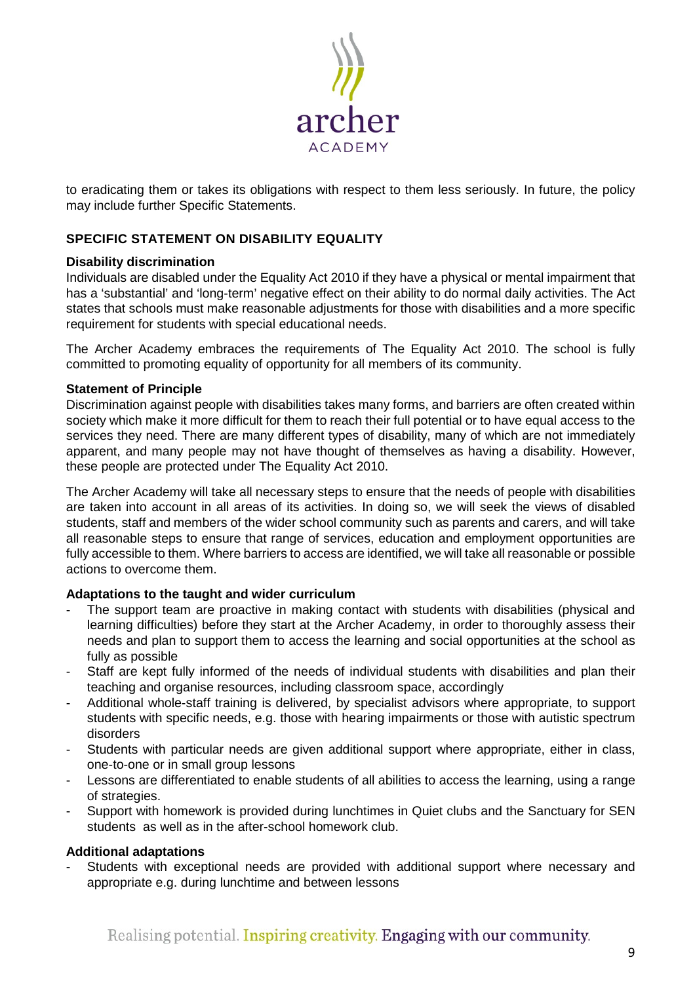

to eradicating them or takes its obligations with respect to them less seriously. In future, the policy may include further Specific Statements.

# <span id="page-8-0"></span>**SPECIFIC STATEMENT ON DISABILITY EQUALITY**

# <span id="page-8-1"></span>**Disability discrimination**

Individuals are disabled under the Equality Act 2010 if they have a physical or mental impairment that has a 'substantial' and 'long-term' negative effect on their ability to do normal daily activities. The Act states that schools must make reasonable adjustments for those with disabilities and a more specific requirement for students with special educational needs.

The Archer Academy embraces the requirements of The Equality Act 2010. The school is fully committed to promoting equality of opportunity for all members of its community.

# <span id="page-8-2"></span>**Statement of Principle**

Discrimination against people with disabilities takes many forms, and barriers are often created within society which make it more difficult for them to reach their full potential or to have equal access to the services they need. There are many different types of disability, many of which are not immediately apparent, and many people may not have thought of themselves as having a disability. However, these people are protected under The Equality Act 2010.

The Archer Academy will take all necessary steps to ensure that the needs of people with disabilities are taken into account in all areas of its activities. In doing so, we will seek the views of disabled students, staff and members of the wider school community such as parents and carers, and will take all reasonable steps to ensure that range of services, education and employment opportunities are fully accessible to them. Where barriers to access are identified, we will take all reasonable or possible actions to overcome them.

# <span id="page-8-3"></span>**Adaptations to the taught and wider curriculum**

- The support team are proactive in making contact with students with disabilities (physical and learning difficulties) before they start at the Archer Academy, in order to thoroughly assess their needs and plan to support them to access the learning and social opportunities at the school as fully as possible
- Staff are kept fully informed of the needs of individual students with disabilities and plan their teaching and organise resources, including classroom space, accordingly
- Additional whole-staff training is delivered, by specialist advisors where appropriate, to support students with specific needs, e.g. those with hearing impairments or those with autistic spectrum disorders
- Students with particular needs are given additional support where appropriate, either in class, one-to-one or in small group lessons
- Lessons are differentiated to enable students of all abilities to access the learning, using a range of strategies.
- Support with homework is provided during lunchtimes in Quiet clubs and the Sanctuary for SEN students as well as in the after-school homework club.

# <span id="page-8-4"></span>**Additional adaptations**

Students with exceptional needs are provided with additional support where necessary and appropriate e.g. during lunchtime and between lessons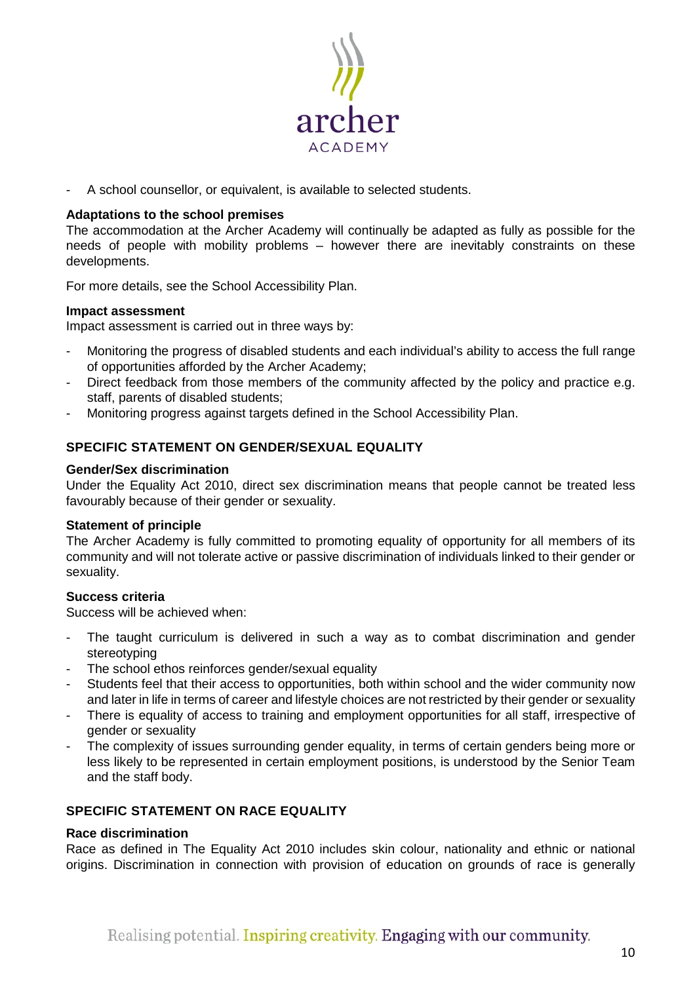

A school counsellor, or equivalent, is available to selected students.

# <span id="page-9-0"></span>**Adaptations to the school premises**

The accommodation at the Archer Academy will continually be adapted as fully as possible for the needs of people with mobility problems – however there are inevitably constraints on these developments.

For more details, see the School Accessibility Plan.

# <span id="page-9-1"></span>**Impact assessment**

Impact assessment is carried out in three ways by:

- Monitoring the progress of disabled students and each individual's ability to access the full range of opportunities afforded by the Archer Academy;
- Direct feedback from those members of the community affected by the policy and practice e.g. staff, parents of disabled students;
- Monitoring progress against targets defined in the School Accessibility Plan.

# <span id="page-9-2"></span>**SPECIFIC STATEMENT ON GENDER/SEXUAL EQUALITY**

#### <span id="page-9-3"></span>**Gender/Sex discrimination**

Under the Equality Act 2010, direct sex discrimination means that people cannot be treated less favourably because of their gender or sexuality.

#### <span id="page-9-4"></span>**Statement of principle**

The Archer Academy is fully committed to promoting equality of opportunity for all members of its community and will not tolerate active or passive discrimination of individuals linked to their gender or sexuality.

# <span id="page-9-5"></span>**Success criteria**

Success will be achieved when:

- The taught curriculum is delivered in such a way as to combat discrimination and gender stereotyping
- The school ethos reinforces gender/sexual equality
- Students feel that their access to opportunities, both within school and the wider community now and later in life in terms of career and lifestyle choices are not restricted by their gender or sexuality
- There is equality of access to training and employment opportunities for all staff, irrespective of gender or sexuality
- The complexity of issues surrounding gender equality, in terms of certain genders being more or less likely to be represented in certain employment positions, is understood by the Senior Team and the staff body.

# <span id="page-9-6"></span>**SPECIFIC STATEMENT ON RACE EQUALITY**

# <span id="page-9-7"></span>**Race discrimination**

Race as defined in The Equality Act 2010 includes skin colour, nationality and ethnic or national origins. Discrimination in connection with provision of education on grounds of race is generally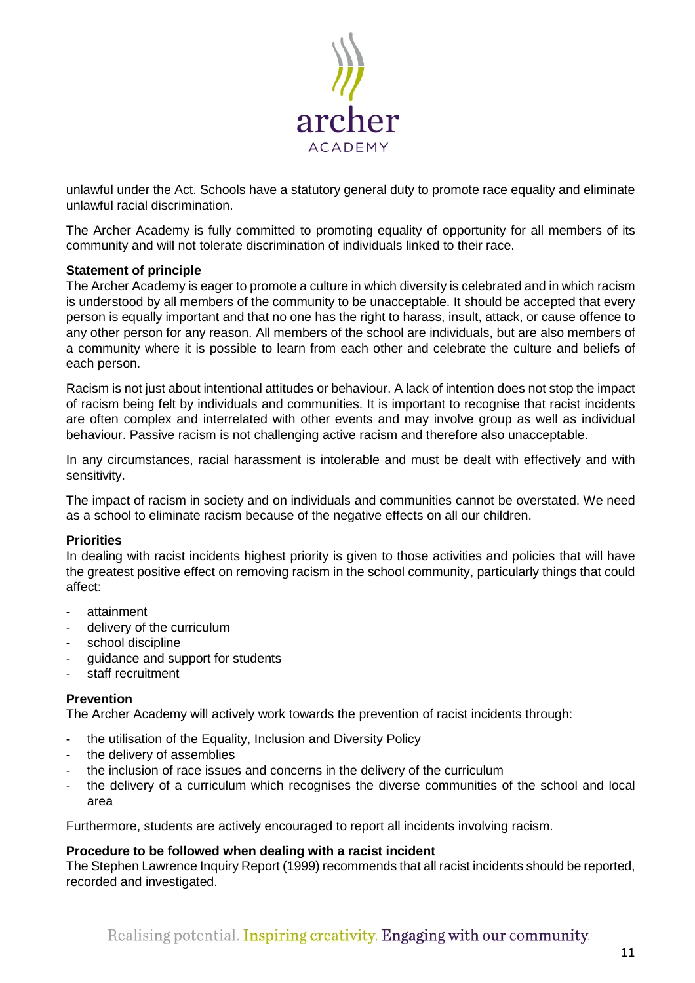

unlawful under the Act. Schools have a statutory general duty to promote race equality and eliminate unlawful racial discrimination.

The Archer Academy is fully committed to promoting equality of opportunity for all members of its community and will not tolerate discrimination of individuals linked to their race.

# <span id="page-10-0"></span>**Statement of principle**

The Archer Academy is eager to promote a culture in which diversity is celebrated and in which racism is understood by all members of the community to be unacceptable. It should be accepted that every person is equally important and that no one has the right to harass, insult, attack, or cause offence to any other person for any reason. All members of the school are individuals, but are also members of a community where it is possible to learn from each other and celebrate the culture and beliefs of each person.

Racism is not just about intentional attitudes or behaviour. A lack of intention does not stop the impact of racism being felt by individuals and communities. It is important to recognise that racist incidents are often complex and interrelated with other events and may involve group as well as individual behaviour. Passive racism is not challenging active racism and therefore also unacceptable.

In any circumstances, racial harassment is intolerable and must be dealt with effectively and with sensitivity.

The impact of racism in society and on individuals and communities cannot be overstated. We need as a school to eliminate racism because of the negative effects on all our children.

#### <span id="page-10-1"></span>**Priorities**

In dealing with racist incidents highest priority is given to those activities and policies that will have the greatest positive effect on removing racism in the school community, particularly things that could affect:

- attainment
- delivery of the curriculum
- school discipline
- quidance and support for students
- staff recruitment

#### <span id="page-10-2"></span>**Prevention**

The Archer Academy will actively work towards the prevention of racist incidents through:

- the utilisation of the Equality, Inclusion and Diversity Policy
- the delivery of assemblies
- the inclusion of race issues and concerns in the delivery of the curriculum
- the delivery of a curriculum which recognises the diverse communities of the school and local area

Furthermore, students are actively encouraged to report all incidents involving racism.

#### <span id="page-10-3"></span>**Procedure to be followed when dealing with a racist incident**

The Stephen Lawrence Inquiry Report (1999) recommends that all racist incidents should be reported, recorded and investigated.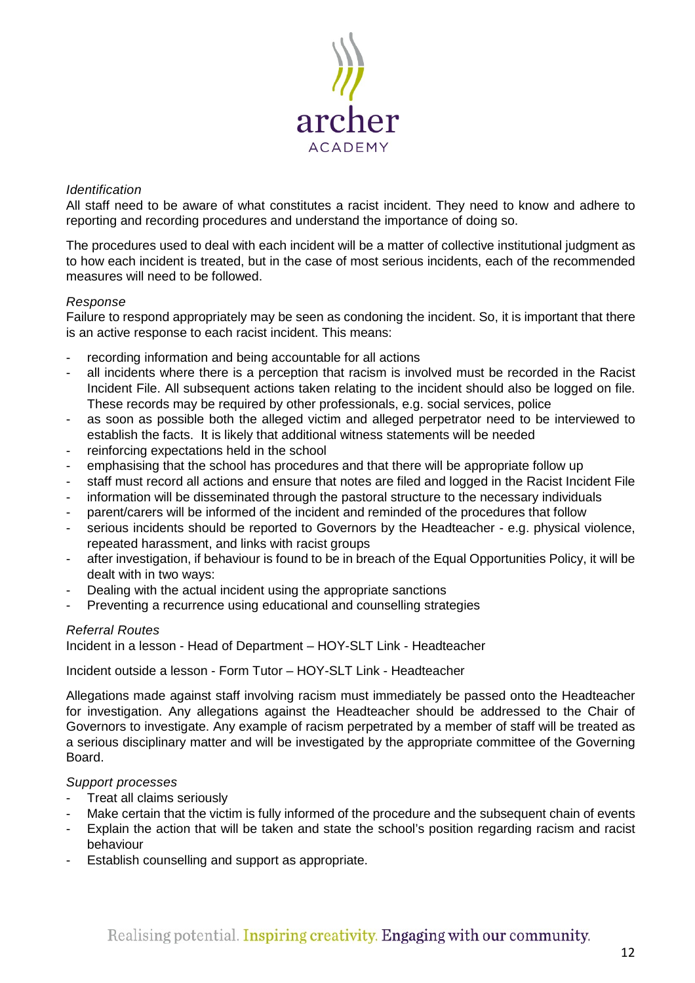

# <span id="page-11-0"></span>*Identification*

All staff need to be aware of what constitutes a racist incident. They need to know and adhere to reporting and recording procedures and understand the importance of doing so.

The procedures used to deal with each incident will be a matter of collective institutional judgment as to how each incident is treated, but in the case of most serious incidents, each of the recommended measures will need to be followed.

# <span id="page-11-1"></span>*Response*

Failure to respond appropriately may be seen as condoning the incident. So, it is important that there is an active response to each racist incident. This means:

- recording information and being accountable for all actions
- all incidents where there is a perception that racism is involved must be recorded in the Racist Incident File. All subsequent actions taken relating to the incident should also be logged on file. These records may be required by other professionals, e.g. social services, police
- as soon as possible both the alleged victim and alleged perpetrator need to be interviewed to establish the facts. It is likely that additional witness statements will be needed
- reinforcing expectations held in the school
- emphasising that the school has procedures and that there will be appropriate follow up
- staff must record all actions and ensure that notes are filed and logged in the Racist Incident File
- information will be disseminated through the pastoral structure to the necessary individuals
- parent/carers will be informed of the incident and reminded of the procedures that follow
- serious incidents should be reported to Governors by the Headteacher e.g. physical violence, repeated harassment, and links with racist groups
- after investigation, if behaviour is found to be in breach of the Equal Opportunities Policy, it will be dealt with in two ways:
- Dealing with the actual incident using the appropriate sanctions
- Preventing a recurrence using educational and counselling strategies

# <span id="page-11-2"></span>*Referral Routes*

Incident in a lesson - Head of Department – HOY-SLT Link - Headteacher

Incident outside a lesson - Form Tutor – HOY-SLT Link - Headteacher

Allegations made against staff involving racism must immediately be passed onto the Headteacher for investigation. Any allegations against the Headteacher should be addressed to the Chair of Governors to investigate. Any example of racism perpetrated by a member of staff will be treated as a serious disciplinary matter and will be investigated by the appropriate committee of the Governing Board.

# <span id="page-11-3"></span>*Support processes*

- Treat all claims seriously
- Make certain that the victim is fully informed of the procedure and the subsequent chain of events
- Explain the action that will be taken and state the school's position regarding racism and racist behaviour
- Establish counselling and support as appropriate.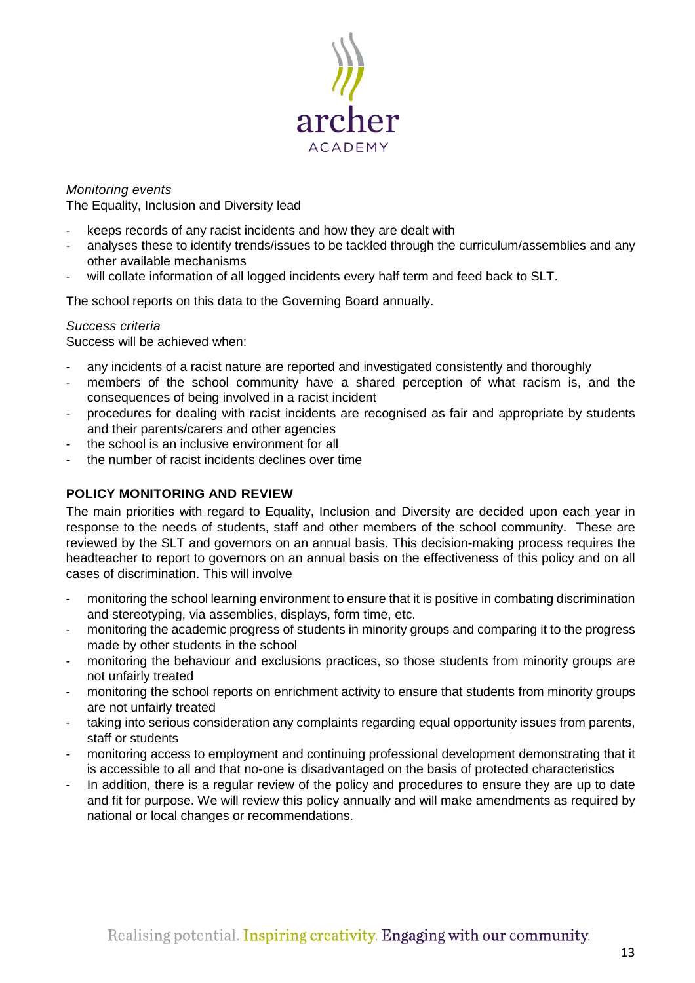

# <span id="page-12-0"></span>*Monitoring events*

The Equality, Inclusion and Diversity lead

- keeps records of any racist incidents and how they are dealt with
- analyses these to identify trends/issues to be tackled through the curriculum/assemblies and any other available mechanisms
- will collate information of all logged incidents every half term and feed back to SLT.

The school reports on this data to the Governing Board annually.

# <span id="page-12-1"></span>*Success criteria*

Success will be achieved when:

- any incidents of a racist nature are reported and investigated consistently and thoroughly
- members of the school community have a shared perception of what racism is, and the consequences of being involved in a racist incident
- procedures for dealing with racist incidents are recognised as fair and appropriate by students and their parents/carers and other agencies
- the school is an inclusive environment for all
- the number of racist incidents declines over time

# <span id="page-12-2"></span>**POLICY MONITORING AND REVIEW**

The main priorities with regard to Equality, Inclusion and Diversity are decided upon each year in response to the needs of students, staff and other members of the school community. These are reviewed by the SLT and governors on an annual basis. This decision-making process requires the headteacher to report to governors on an annual basis on the effectiveness of this policy and on all cases of discrimination. This will involve

- monitoring the school learning environment to ensure that it is positive in combating discrimination and stereotyping, via assemblies, displays, form time, etc.
- monitoring the academic progress of students in minority groups and comparing it to the progress made by other students in the school
- monitoring the behaviour and exclusions practices, so those students from minority groups are not unfairly treated
- monitoring the school reports on enrichment activity to ensure that students from minority groups are not unfairly treated
- taking into serious consideration any complaints regarding equal opportunity issues from parents, staff or students
- monitoring access to employment and continuing professional development demonstrating that it is accessible to all and that no-one is disadvantaged on the basis of protected characteristics
- In addition, there is a regular review of the policy and procedures to ensure they are up to date and fit for purpose. We will review this policy annually and will make amendments as required by national or local changes or recommendations.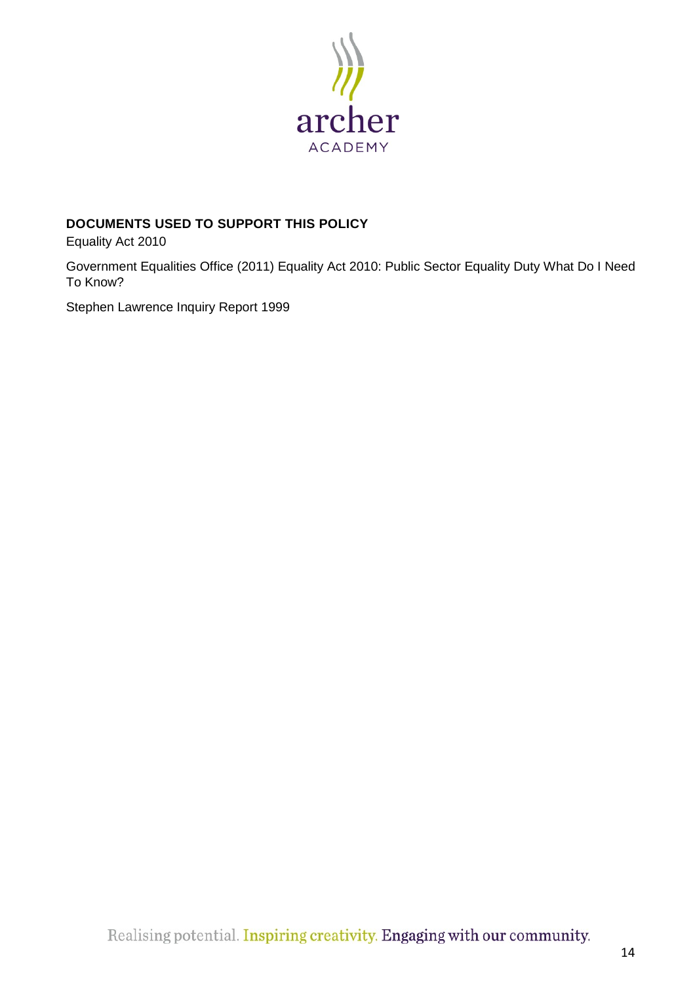

# <span id="page-13-0"></span>**DOCUMENTS USED TO SUPPORT THIS POLICY**

Equality Act 2010

Government Equalities Office (2011) Equality Act 2010: Public Sector Equality Duty What Do I Need To Know?

Stephen Lawrence Inquiry Report 1999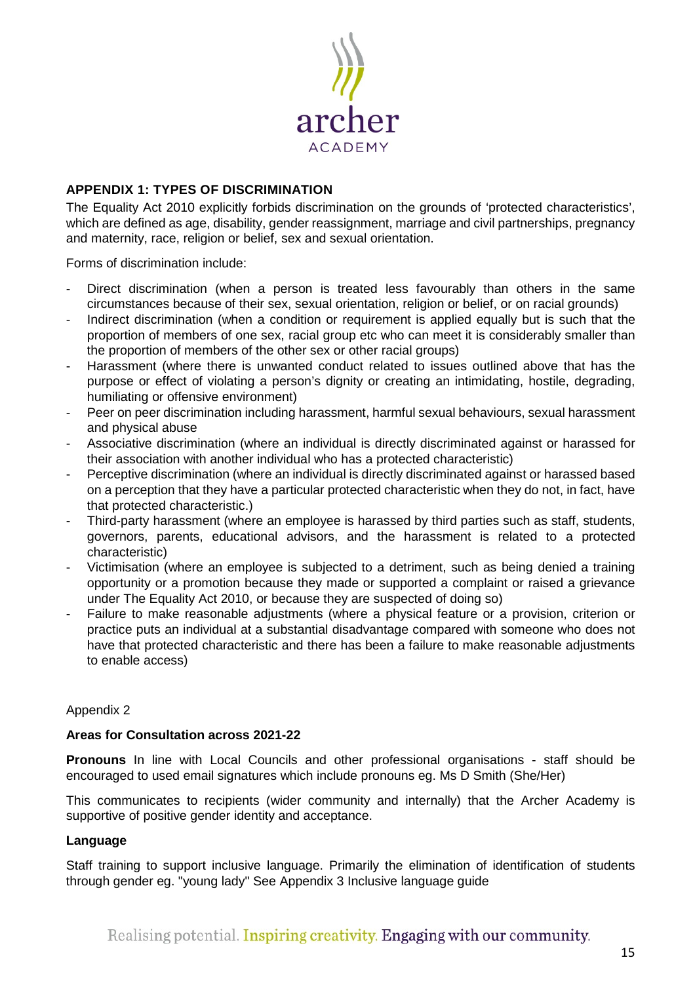

# <span id="page-14-0"></span>**APPENDIX 1: TYPES OF DISCRIMINATION**

The Equality Act 2010 explicitly forbids discrimination on the grounds of 'protected characteristics', which are defined as age, disability, gender reassignment, marriage and civil partnerships, pregnancy and maternity, race, religion or belief, sex and sexual orientation.

Forms of discrimination include:

- Direct discrimination (when a person is treated less favourably than others in the same circumstances because of their sex, sexual orientation, religion or belief, or on racial grounds)
- Indirect discrimination (when a condition or requirement is applied equally but is such that the proportion of members of one sex, racial group etc who can meet it is considerably smaller than the proportion of members of the other sex or other racial groups)
- Harassment (where there is unwanted conduct related to issues outlined above that has the purpose or effect of violating a person's dignity or creating an intimidating, hostile, degrading, humiliating or offensive environment)
- Peer on peer discrimination including harassment, harmful sexual behaviours, sexual harassment and physical abuse
- Associative discrimination (where an individual is directly discriminated against or harassed for their association with another individual who has a protected characteristic)
- Perceptive discrimination (where an individual is directly discriminated against or harassed based on a perception that they have a particular protected characteristic when they do not, in fact, have that protected characteristic.)
- Third-party harassment (where an employee is harassed by third parties such as staff, students, governors, parents, educational advisors, and the harassment is related to a protected characteristic)
- Victimisation (where an employee is subjected to a detriment, such as being denied a training opportunity or a promotion because they made or supported a complaint or raised a grievance under The Equality Act 2010, or because they are suspected of doing so)
- Failure to make reasonable adjustments (where a physical feature or a provision, criterion or practice puts an individual at a substantial disadvantage compared with someone who does not have that protected characteristic and there has been a failure to make reasonable adjustments to enable access)

# Appendix 2

# **Areas for Consultation across 2021-22**

**Pronouns** In line with Local Councils and other professional organisations - staff should be encouraged to used email signatures which include pronouns eg. Ms D Smith (She/Her)

This communicates to recipients (wider community and internally) that the Archer Academy is supportive of positive gender identity and acceptance.

# **Language**

Staff training to support inclusive language. Primarily the elimination of identification of students through gender eg. "young lady" See Appendix 3 Inclusive language guide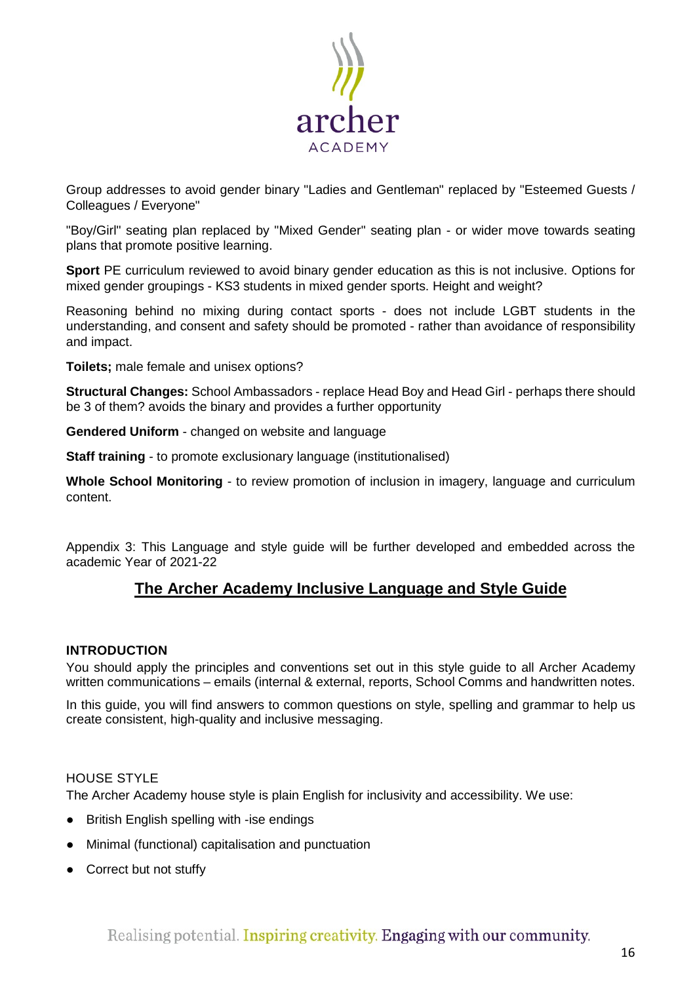

Group addresses to avoid gender binary "Ladies and Gentleman" replaced by "Esteemed Guests / Colleagues / Everyone"

"Boy/Girl" seating plan replaced by "Mixed Gender" seating plan - or wider move towards seating plans that promote positive learning.

**Sport** PE curriculum reviewed to avoid binary gender education as this is not inclusive. Options for mixed gender groupings - KS3 students in mixed gender sports. Height and weight?

Reasoning behind no mixing during contact sports - does not include LGBT students in the understanding, and consent and safety should be promoted - rather than avoidance of responsibility and impact.

**Toilets;** male female and unisex options?

**Structural Changes:** School Ambassadors - replace Head Boy and Head Girl - perhaps there should be 3 of them? avoids the binary and provides a further opportunity

**Gendered Uniform** - changed on website and language

**Staff training** - to promote exclusionary language (institutionalised)

**Whole School Monitoring** - to review promotion of inclusion in imagery, language and curriculum content.

Appendix 3: This Language and style guide will be further developed and embedded across the academic Year of 2021-22

# **The Archer Academy Inclusive Language and Style Guide**

# <span id="page-15-0"></span>**INTRODUCTION**

You should apply the principles and conventions set out in this style guide to all Archer Academy written communications – emails (internal & external, reports, School Comms and handwritten notes.

In this guide, you will find answers to common questions on style, spelling and grammar to help us create consistent, high-quality and inclusive messaging.

# <span id="page-15-1"></span>HOUSE STYLE

The Archer Academy house style is plain English for inclusivity and accessibility. We use:

- British English spelling with -ise endings
- Minimal (functional) capitalisation and punctuation
- Correct but not stuffy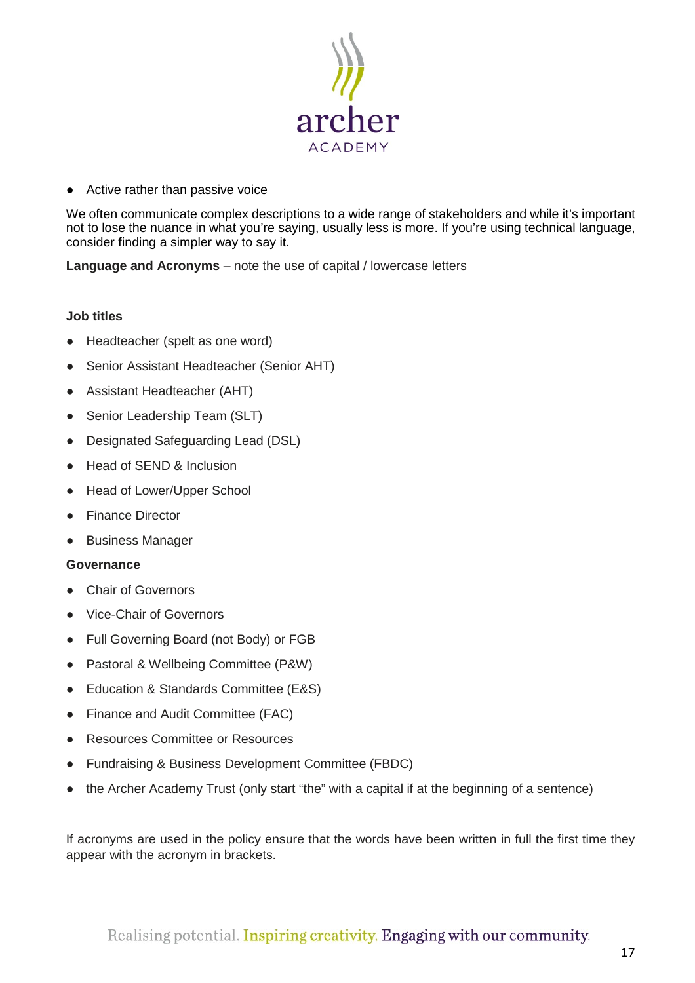

● Active rather than passive voice

We often communicate complex descriptions to a wide range of stakeholders and while it's important not to lose the nuance in what you're saying, usually less is more. If you're using technical language, consider finding a simpler way to say it.

**Language and Acronyms** – note the use of capital / lowercase letters

# **Job titles**

- Headteacher (spelt as one word)
- Senior Assistant Headteacher (Senior AHT)
- Assistant Headteacher (AHT)
- Senior Leadership Team (SLT)
- Designated Safeguarding Lead (DSL)
- Head of SEND & Inclusion
- Head of Lower/Upper School
- Finance Director
- Business Manager

# **Governance**

- Chair of Governors
- Vice-Chair of Governors
- Full Governing Board (not Body) or FGB
- Pastoral & Wellbeing Committee (P&W)
- Education & Standards Committee (E&S)
- Finance and Audit Committee (FAC)
- Resources Committee or Resources
- Fundraising & Business Development Committee (FBDC)
- the Archer Academy Trust (only start "the" with a capital if at the beginning of a sentence)

If acronyms are used in the policy ensure that the words have been written in full the first time they appear with the acronym in brackets.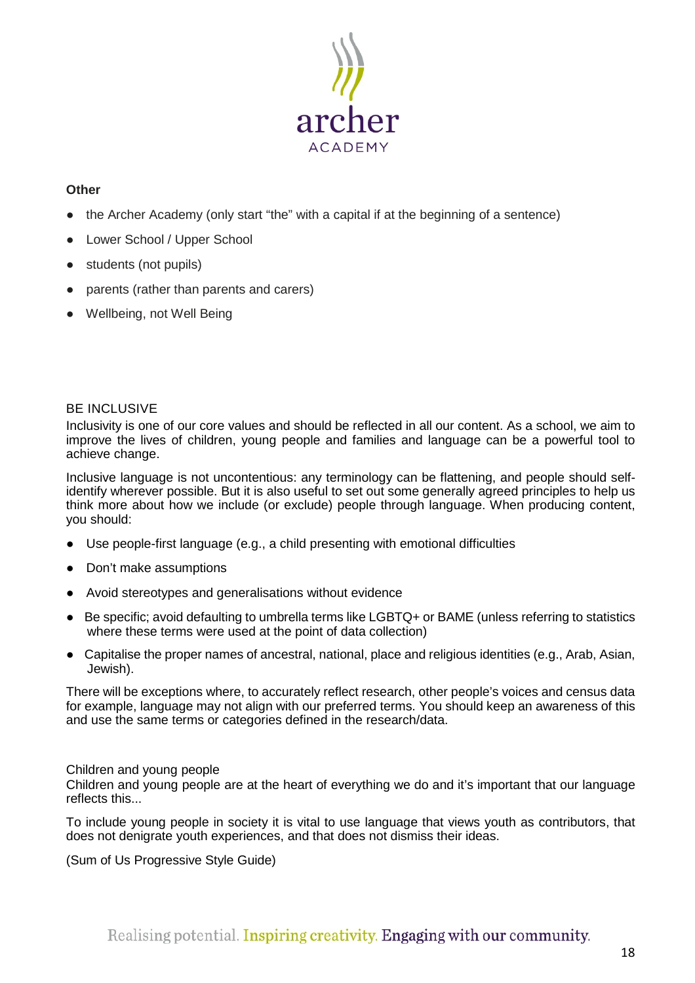

# **Other**

- the Archer Academy (only start "the" with a capital if at the beginning of a sentence)
- Lower School / Upper School
- students (not pupils)
- parents (rather than parents and carers)
- Wellbeing, not Well Being

# <span id="page-17-0"></span>BE INCLUSIVE

Inclusivity is one of our core values and should be reflected in all our content. As a school, we aim to improve the lives of children, young people and families and language can be a powerful tool to achieve change.

Inclusive language is not uncontentious: any terminology can be flattening, and people should selfidentify wherever possible. But it is also useful to set out some generally agreed principles to help us think more about how we include (or exclude) people through language. When producing content, you should:

- Use people-first language (e.g., a child presenting with emotional difficulties
- Don't make assumptions
- Avoid stereotypes and generalisations without evidence
- Be specific; avoid defaulting to umbrella terms like LGBTQ+ or BAME (unless referring to statistics where these terms were used at the point of data collection)
- Capitalise the proper names of ancestral, national, place and religious identities (e.g., Arab, Asian, Jewish).

There will be exceptions where, to accurately reflect research, other people's voices and census data for example, language may not align with our preferred terms. You should keep an awareness of this and use the same terms or categories defined in the research/data.

# <span id="page-17-1"></span>Children and young people

Children and young people are at the heart of everything we do and it's important that our language reflects this...

To include young people in society it is vital to use language that views youth as contributors, that does not denigrate youth experiences, and that does not dismiss their ideas.

(Sum of Us Progressive Style Guide)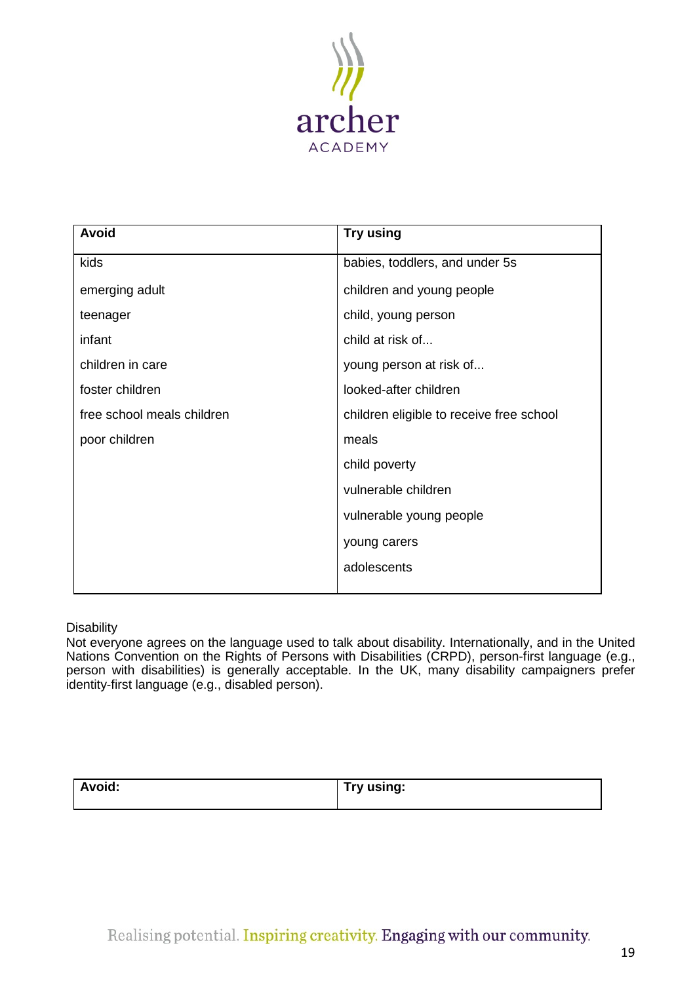

| <b>Avoid</b>               | Try using                                |
|----------------------------|------------------------------------------|
| kids                       | babies, toddlers, and under 5s           |
| emerging adult             | children and young people                |
| teenager                   | child, young person                      |
| infant                     | child at risk of                         |
| children in care           | young person at risk of                  |
| foster children            | looked-after children                    |
| free school meals children | children eligible to receive free school |
| poor children              | meals                                    |
|                            | child poverty                            |
|                            | vulnerable children                      |
|                            | vulnerable young people                  |
|                            | young carers                             |
|                            | adolescents                              |
|                            |                                          |

# <span id="page-18-0"></span>**Disability**

Not everyone agrees on the language used to talk about disability. Internationally, and in the United Nations Convention on the Rights of Persons with Disabilities (CRPD), person-first language (e.g., person with disabilities) is generally acceptable. In the UK, many disability campaigners prefer identity-first language (e.g., disabled person).

| <b>Avoid:</b><br>____ | Try using: |
|-----------------------|------------|
|                       |            |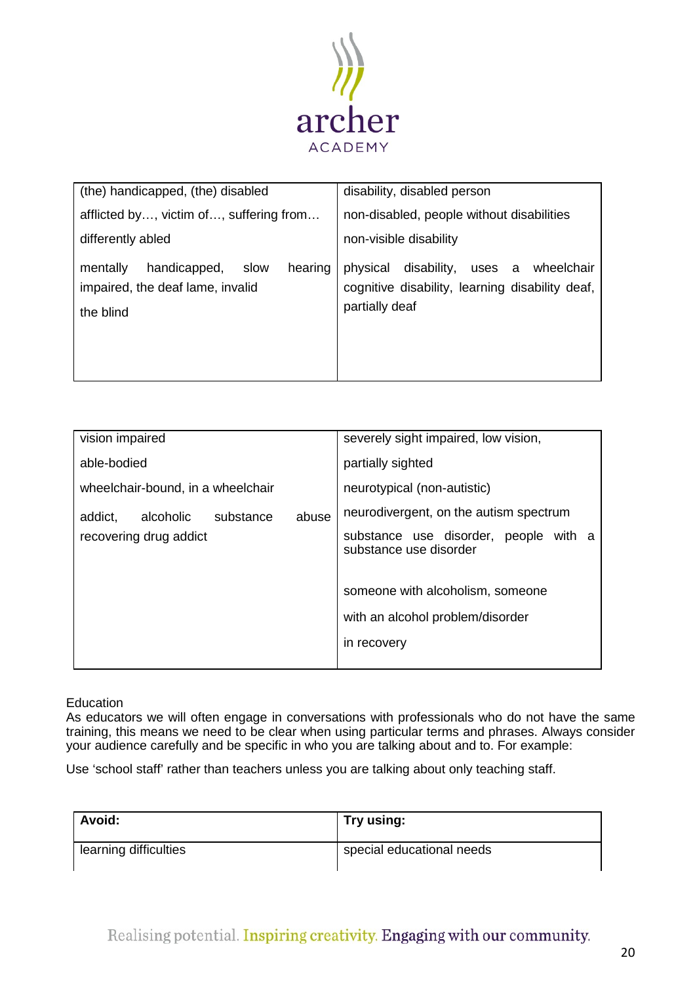

| (the) handicapped, (the) disabled                                                            | disability, disabled person                                                                                       |
|----------------------------------------------------------------------------------------------|-------------------------------------------------------------------------------------------------------------------|
| afflicted by, victim of, suffering from                                                      | non-disabled, people without disabilities                                                                         |
| differently abled                                                                            | non-visible disability                                                                                            |
| slow<br>hearing<br>mentally<br>handicapped,<br>impaired, the deaf lame, invalid<br>the blind | disability,<br>physical<br>uses a wheelchair<br>cognitive disability, learning disability deaf,<br>partially deaf |

| vision impaired                            | severely sight impaired, low vision,                                                |
|--------------------------------------------|-------------------------------------------------------------------------------------|
| able-bodied                                | partially sighted                                                                   |
| wheelchair-bound, in a wheelchair          | neurotypical (non-autistic)                                                         |
| abuse<br>alcoholic<br>substance<br>addict, | neurodivergent, on the autism spectrum                                              |
| recovering drug addict                     | substance use disorder, people with a<br>substance use disorder                     |
|                                            | someone with alcoholism, someone<br>with an alcohol problem/disorder<br>in recovery |
|                                            |                                                                                     |

<span id="page-19-0"></span>**Education** 

As educators we will often engage in conversations with professionals who do not have the same training, this means we need to be clear when using particular terms and phrases. Always consider your audience carefully and be specific in who you are talking about and to. For example:

Use 'school staff' rather than teachers unless you are talking about only teaching staff.

| <b>Avoid:</b>         | Try using:                |
|-----------------------|---------------------------|
| learning difficulties | special educational needs |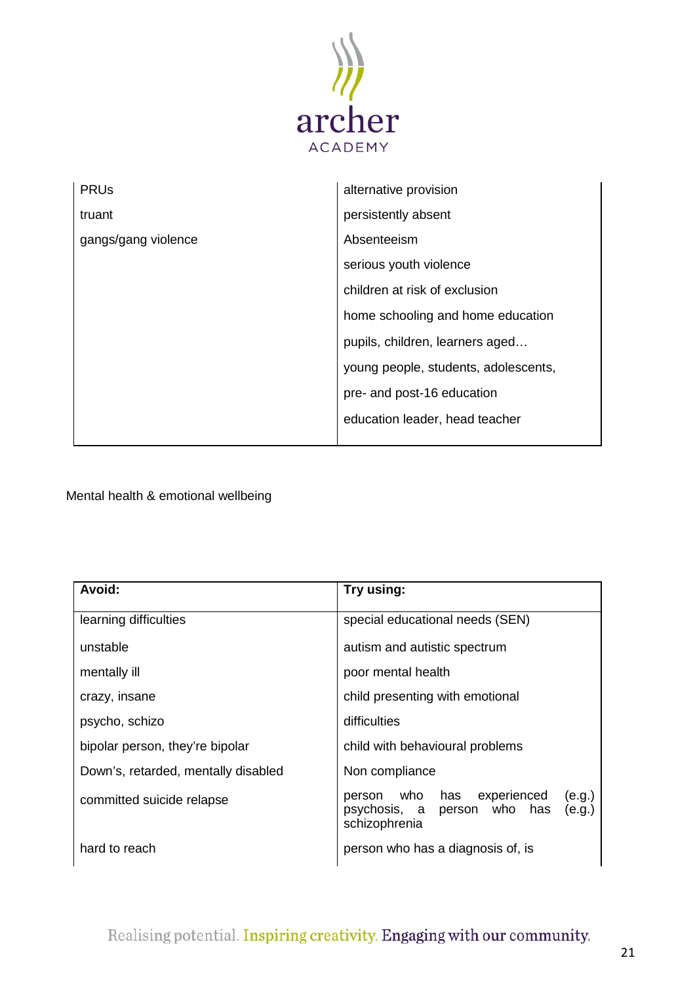

| <b>PRU<sub>s</sub></b> | alternative provision                |
|------------------------|--------------------------------------|
| truant                 | persistently absent                  |
| gangs/gang violence    | Absenteeism                          |
|                        | serious youth violence               |
|                        | children at risk of exclusion        |
|                        | home schooling and home education    |
|                        | pupils, children, learners aged      |
|                        | young people, students, adolescents, |
|                        | pre- and post-16 education           |
|                        | education leader, head teacher       |
|                        |                                      |

<span id="page-20-0"></span>Mental health & emotional wellbeing

| Avoid:                              | Try using:                                                                                                 |
|-------------------------------------|------------------------------------------------------------------------------------------------------------|
| learning difficulties               | special educational needs (SEN)                                                                            |
| unstable                            | autism and autistic spectrum                                                                               |
| mentally ill                        | poor mental health                                                                                         |
| crazy, insane                       | child presenting with emotional                                                                            |
| psycho, schizo                      | difficulties                                                                                               |
| bipolar person, they're bipolar     | child with behavioural problems                                                                            |
| Down's, retarded, mentally disabled | Non compliance                                                                                             |
| committed suicide relapse           | experienced<br>(e.g.)<br>who<br>has<br>person<br>person who has<br>psychosis, a<br>(e.g.)<br>schizophrenia |
| hard to reach                       | person who has a diagnosis of, is                                                                          |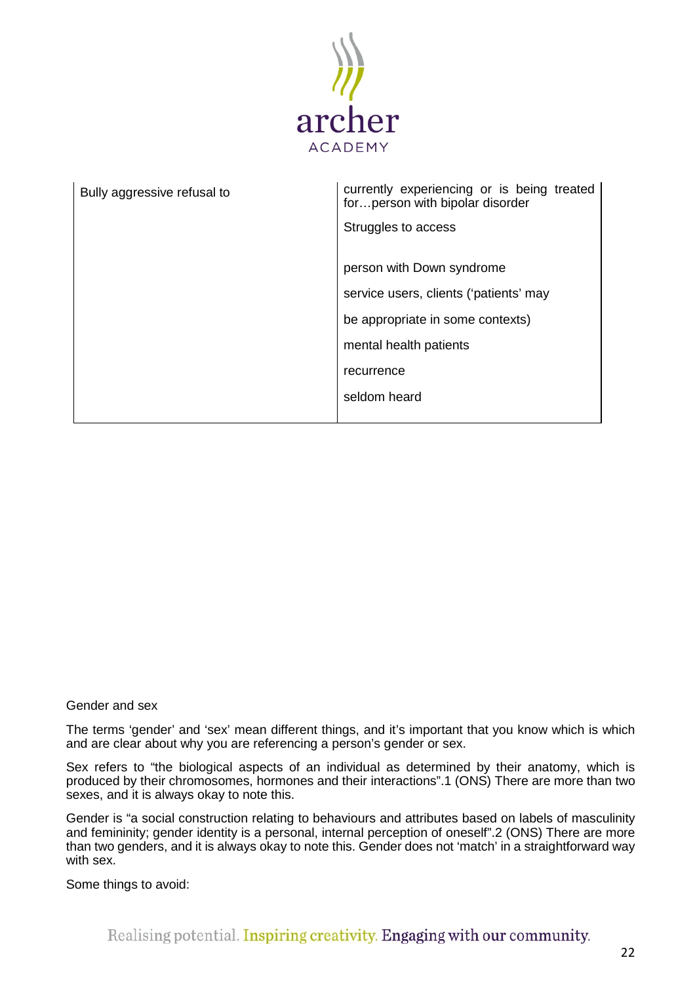

| Bully aggressive refusal to | currently experiencing or is being treated<br>for person with bipolar disorder |
|-----------------------------|--------------------------------------------------------------------------------|
|                             | Struggles to access                                                            |
|                             | person with Down syndrome                                                      |
|                             | service users, clients ('patients' may                                         |
|                             | be appropriate in some contexts)                                               |
|                             | mental health patients                                                         |
|                             | recurrence                                                                     |
|                             | seldom heard                                                                   |
|                             |                                                                                |

#### Gender and sex

The terms 'gender' and 'sex' mean different things, and it's important that you know which is which and are clear about why you are referencing a person's gender or sex.

Sex refers to "the biological aspects of an individual as determined by their anatomy, which is produced by their chromosomes, hormones and their interactions".1 (ONS) There are more than two sexes, and it is always okay to note this.

Gender is "a social construction relating to behaviours and attributes based on labels of masculinity and femininity; gender identity is a personal, internal perception of oneself".2 (ONS) There are more than two genders, and it is always okay to note this. Gender does not 'match' in a straightforward way with sex.

Some things to avoid: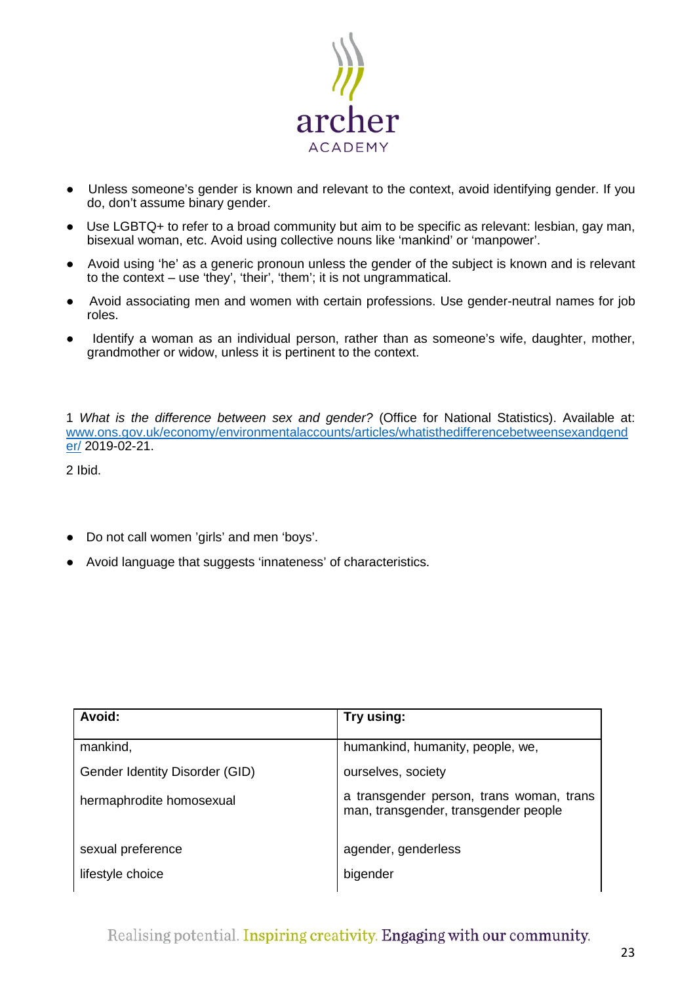

- Unless someone's gender is known and relevant to the context, avoid identifying gender. If you do, don't assume binary gender.
- Use LGBTQ+ to refer to a broad community but aim to be specific as relevant: lesbian, gay man, bisexual woman, etc. Avoid using collective nouns like 'mankind' or 'manpower'.
- Avoid using 'he' as a generic pronoun unless the gender of the subject is known and is relevant to the context – use 'they', 'their', 'them'; it is not ungrammatical.
- Avoid associating men and women with certain professions. Use gender-neutral names for job roles.
- Identify a woman as an individual person, rather than as someone's wife, daughter, mother, grandmother or widow, unless it is pertinent to the context.

1 *What is the difference between sex and gender?* (Office for National Statistics). Available at: [www.ons.gov.uk/economy/environmentalaccounts/articles/whatisthedifferencebetweensexandgend](http://www.ons.gov.uk/economy/environmentalaccounts/articles/whatisthedifferencebetweensexandgender/) [er/](http://www.ons.gov.uk/economy/environmentalaccounts/articles/whatisthedifferencebetweensexandgender/) 2019-02-21.

2 Ibid.

- Do not call women 'girls' and men 'boys'.
- Avoid language that suggests 'innateness' of characteristics.

| Avoid:                         | Try using:                                                                       |
|--------------------------------|----------------------------------------------------------------------------------|
| mankind,                       | humankind, humanity, people, we,                                                 |
| Gender Identity Disorder (GID) | ourselves, society                                                               |
| hermaphrodite homosexual       | a transgender person, trans woman, trans<br>man, transgender, transgender people |
| sexual preference              | agender, genderless                                                              |
| lifestyle choice               | bigender                                                                         |

Realising potential. Inspiring creativity. Engaging with our community.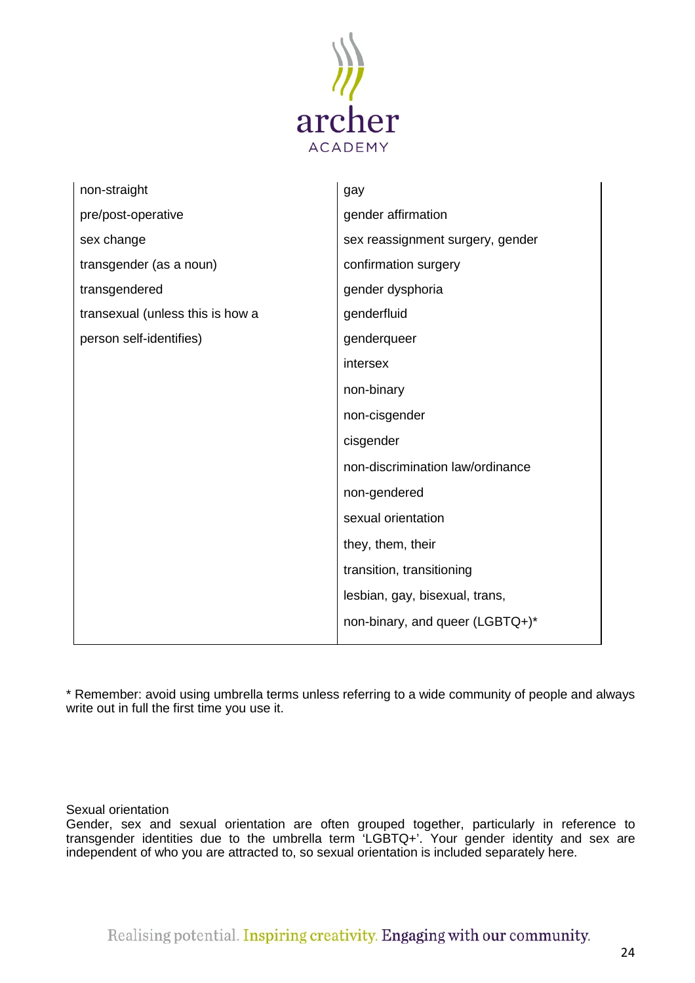

| non-straight                     | gay                              |
|----------------------------------|----------------------------------|
| pre/post-operative               | gender affirmation               |
| sex change                       | sex reassignment surgery, gender |
| transgender (as a noun)          | confirmation surgery             |
| transgendered                    | gender dysphoria                 |
| transexual (unless this is how a | genderfluid                      |
| person self-identifies)          | genderqueer                      |
|                                  | intersex                         |
|                                  | non-binary                       |
|                                  | non-cisgender                    |
|                                  | cisgender                        |
|                                  | non-discrimination law/ordinance |
|                                  | non-gendered                     |
|                                  | sexual orientation               |
|                                  | they, them, their                |
|                                  | transition, transitioning        |
|                                  | lesbian, gay, bisexual, trans,   |
|                                  | non-binary, and queer (LGBTQ+)*  |

\* Remember: avoid using umbrella terms unless referring to a wide community of people and always write out in full the first time you use it.

<span id="page-23-0"></span>Sexual orientation

Gender, sex and sexual orientation are often grouped together, particularly in reference to transgender identities due to the umbrella term 'LGBTQ+'. Your gender identity and sex are independent of who you are attracted to, so sexual orientation is included separately here.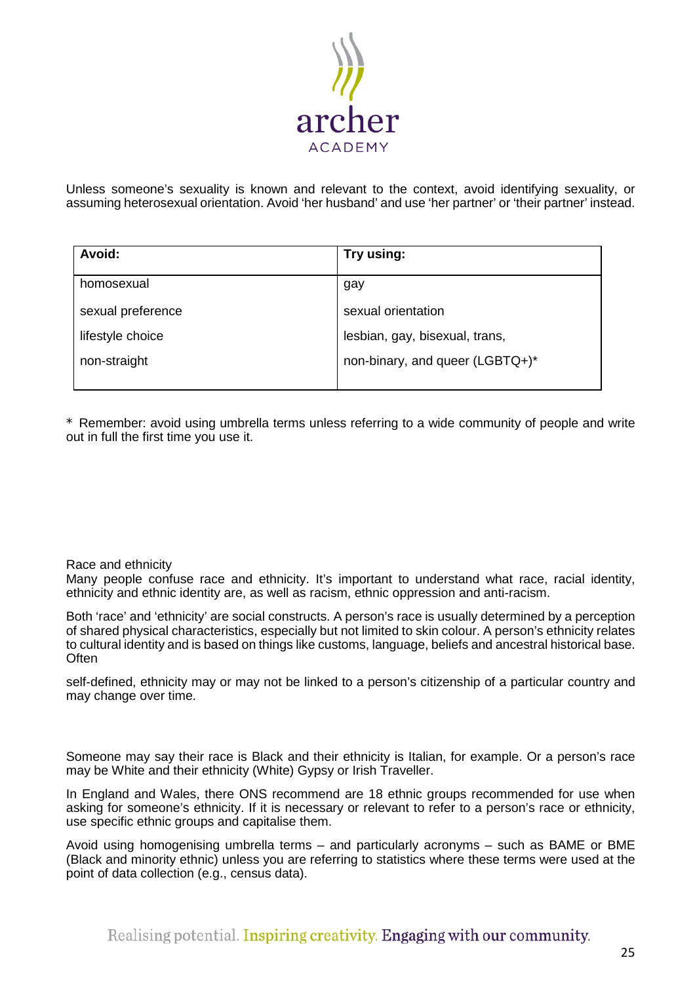

Unless someone's sexuality is known and relevant to the context, avoid identifying sexuality, or assuming heterosexual orientation. Avoid 'her husband' and use 'her partner' or 'their partner' instead.

| <b>Avoid:</b>     | Try using:                      |
|-------------------|---------------------------------|
| homosexual        | gay                             |
| sexual preference | sexual orientation              |
| lifestyle choice  | lesbian, gay, bisexual, trans,  |
| non-straight      | non-binary, and queer (LGBTQ+)* |
|                   |                                 |

\* Remember: avoid using umbrella terms unless referring to a wide community of people and write out in full the first time you use it.

# <span id="page-24-0"></span>Race and ethnicity

Many people confuse race and ethnicity. It's important to understand what race, racial identity, ethnicity and ethnic identity are, as well as racism, ethnic oppression and anti-racism.

Both 'race' and 'ethnicity' are social constructs. A person's race is usually determined by a perception of shared physical characteristics, especially but not limited to skin colour. A person's ethnicity relates to cultural identity and is based on things like customs, language, beliefs and ancestral historical base. **Often** 

self-defined, ethnicity may or may not be linked to a person's citizenship of a particular country and may change over time.

Someone may say their race is Black and their ethnicity is Italian, for example. Or a person's race may be White and their ethnicity (White) Gypsy or Irish Traveller.

In England and Wales, there ONS recommend are 18 ethnic groups recommended for use when asking for someone's ethnicity. If it is necessary or relevant to refer to a person's race or ethnicity, use specific ethnic groups and capitalise them.

Avoid using homogenising umbrella terms – and particularly acronyms – such as BAME or BME (Black and minority ethnic) unless you are referring to statistics where these terms were used at the point of data collection (e.g., census data).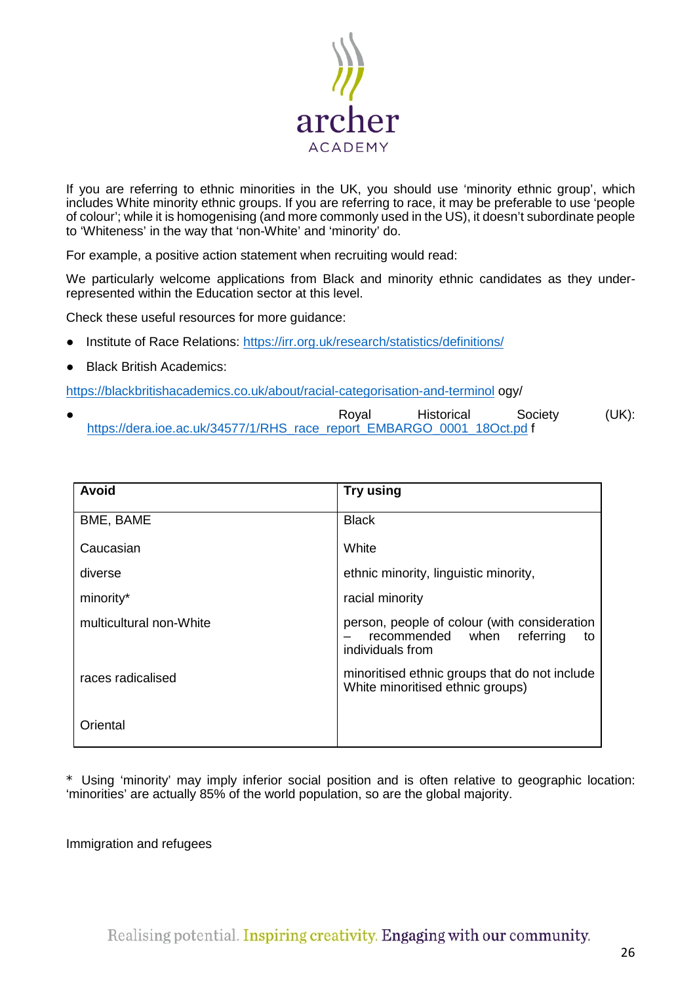

If you are referring to ethnic minorities in the UK, you should use 'minority ethnic group', which includes White minority ethnic groups. If you are referring to race, it may be preferable to use 'people of colour'; while it is homogenising (and more commonly used in the US), it doesn't subordinate people to 'Whiteness' in the way that 'non-White' and 'minority' do.

For example, a positive action statement when recruiting would read:

We particularly welcome applications from Black and minority ethnic candidates as they underrepresented within the Education sector at this level.

Check these useful resources for more guidance:

- Institute of Race Relations:<https://irr.org.uk/research/statistics/definitions/>
- **Black British Academics:**

<https://blackbritishacademics.co.uk/about/racial-categorisation-and-terminol> ogy/

● Royal Historical Society (UK): [https://dera.ioe.ac.uk/34577/1/RHS\\_race\\_report\\_EMBARGO\\_0001\\_18Oct.pd](https://dera.ioe.ac.uk/34577/1/RHS_race_report_EMBARGO_0001_18Oct.pd) f

| <b>Avoid</b>            | Try using                                                                                               |
|-------------------------|---------------------------------------------------------------------------------------------------------|
| BME, BAME               | <b>Black</b>                                                                                            |
| Caucasian               | White                                                                                                   |
| diverse                 | ethnic minority, linguistic minority,                                                                   |
| minority*               | racial minority                                                                                         |
| multicultural non-White | person, people of colour (with consideration<br>recommended when<br>referring<br>to<br>individuals from |
| races radicalised       | minoritised ethnic groups that do not include<br>White minoritised ethnic groups)                       |
| Oriental                |                                                                                                         |

\* Using 'minority' may imply inferior social position and is often relative to geographic location: 'minorities' are actually 85% of the world population, so are the global majority.

<span id="page-25-0"></span>Immigration and refugees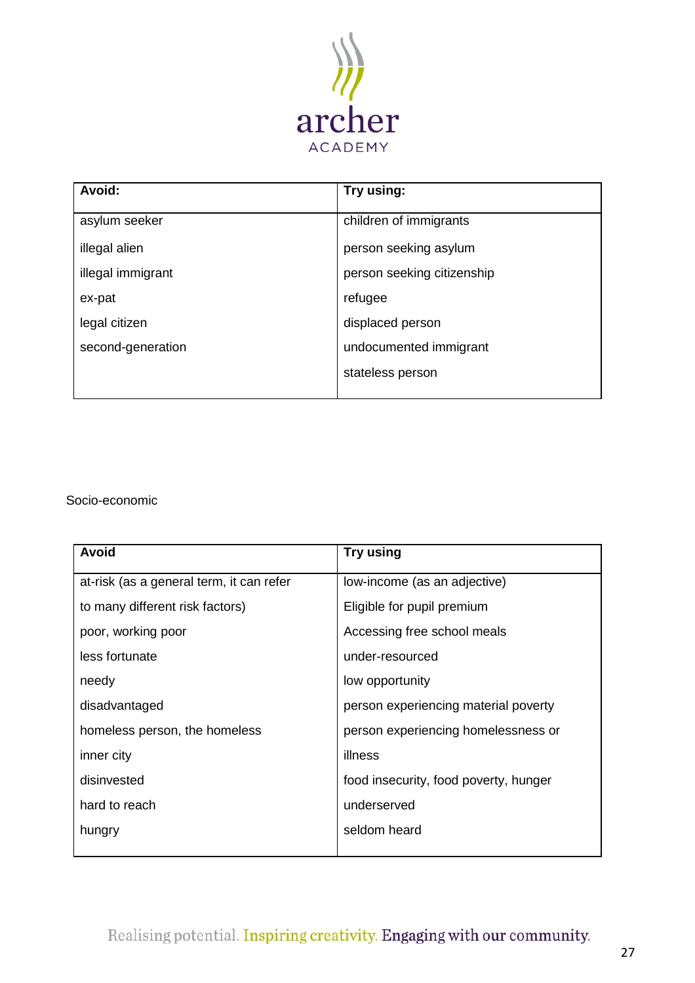

| Avoid:            | Try using:                 |
|-------------------|----------------------------|
| asylum seeker     | children of immigrants     |
| illegal alien     | person seeking asylum      |
| illegal immigrant | person seeking citizenship |
| ex-pat            | refugee                    |
| legal citizen     | displaced person           |
| second-generation | undocumented immigrant     |
|                   | stateless person           |
|                   |                            |

Socio-economic

| <b>Avoid</b>                             | Try using                             |
|------------------------------------------|---------------------------------------|
| at-risk (as a general term, it can refer | low-income (as an adjective)          |
| to many different risk factors)          | Eligible for pupil premium            |
| poor, working poor                       | Accessing free school meals           |
| less fortunate                           | under-resourced                       |
| needy                                    | low opportunity                       |
| disadvantaged                            | person experiencing material poverty  |
| homeless person, the homeless            | person experiencing homelessness or   |
| inner city                               | illness                               |
| disinvested                              | food insecurity, food poverty, hunger |
| hard to reach                            | underserved                           |
| hungry                                   | seldom heard                          |
|                                          |                                       |